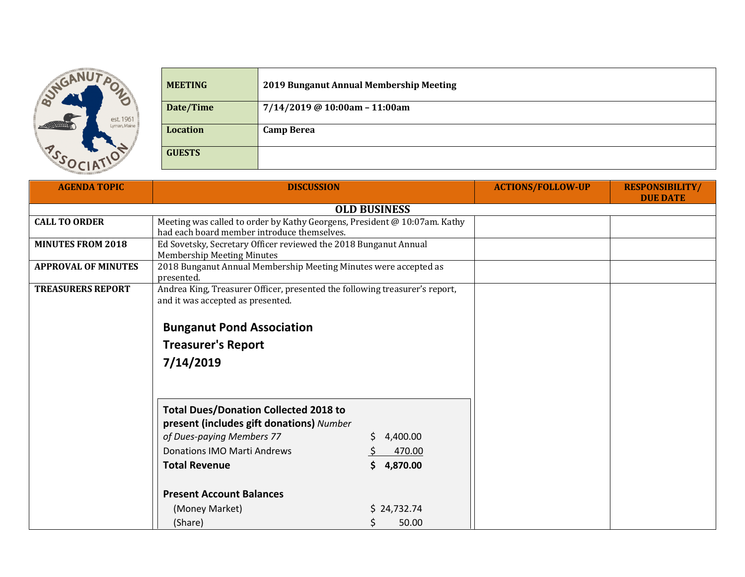

| <b>MEETING</b>  | 2019 Bunganut Annual Membership Meeting |
|-----------------|-----------------------------------------|
| Date/Time       | 7/14/2019 @ 10:00am - 11:00am           |
| <b>Location</b> | <b>Camp Berea</b>                       |
| <b>GUESTS</b>   |                                         |

| <b>AGENDA TOPIC</b>        | <b>DISCUSSION</b>                                                                                                        |             | <b>ACTIONS/FOLLOW-UP</b> | <b>RESPONSIBILITY/</b><br><b>DUE DATE</b> |
|----------------------------|--------------------------------------------------------------------------------------------------------------------------|-------------|--------------------------|-------------------------------------------|
| <b>OLD BUSINESS</b>        |                                                                                                                          |             |                          |                                           |
| <b>CALL TO ORDER</b>       | Meeting was called to order by Kathy Georgens, President @ 10:07am. Kathy<br>had each board member introduce themselves. |             |                          |                                           |
| <b>MINUTES FROM 2018</b>   | Ed Sovetsky, Secretary Officer reviewed the 2018 Bunganut Annual<br><b>Membership Meeting Minutes</b>                    |             |                          |                                           |
| <b>APPROVAL OF MINUTES</b> | 2018 Bunganut Annual Membership Meeting Minutes were accepted as<br>presented.                                           |             |                          |                                           |
| <b>TREASURERS REPORT</b>   | Andrea King, Treasurer Officer, presented the following treasurer's report,<br>and it was accepted as presented.         |             |                          |                                           |
|                            | <b>Bunganut Pond Association</b>                                                                                         |             |                          |                                           |
|                            | <b>Treasurer's Report</b>                                                                                                |             |                          |                                           |
|                            | 7/14/2019                                                                                                                |             |                          |                                           |
|                            | <b>Total Dues/Donation Collected 2018 to</b><br>present (includes gift donations) Number<br>of Dues-paying Members 77    | 4,400.00    |                          |                                           |
|                            | <b>Donations IMO Marti Andrews</b>                                                                                       | 470.00      |                          |                                           |
|                            | <b>Total Revenue</b><br>S.                                                                                               | 4,870.00    |                          |                                           |
|                            | <b>Present Account Balances</b>                                                                                          |             |                          |                                           |
|                            | (Money Market)                                                                                                           | \$24,732.74 |                          |                                           |
|                            | (Share)                                                                                                                  | 50.00       |                          |                                           |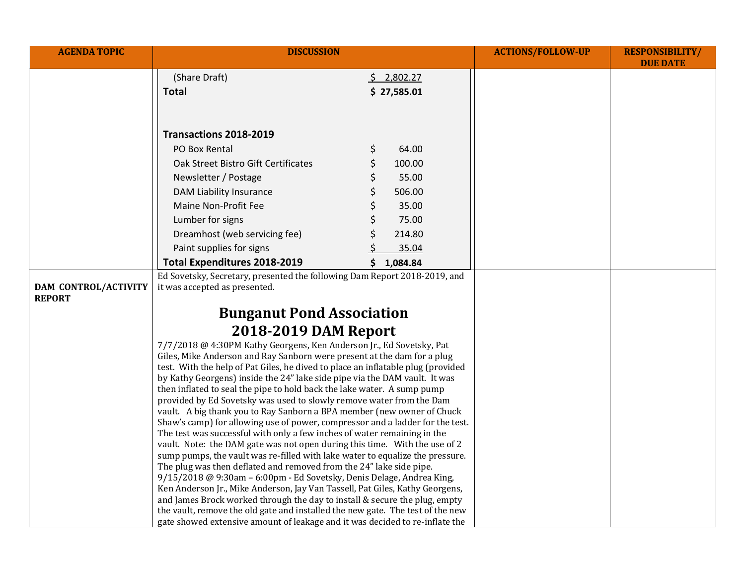| <b>AGENDA TOPIC</b>                          | <b>DISCUSSION</b>                                                                                                                                           |                       | <b>ACTIONS/FOLLOW-UP</b> | <b>RESPONSIBILITY/</b><br><b>DUE DATE</b> |
|----------------------------------------------|-------------------------------------------------------------------------------------------------------------------------------------------------------------|-----------------------|--------------------------|-------------------------------------------|
|                                              | (Share Draft)                                                                                                                                               | $\frac{5}{2}$ ,802.27 |                          |                                           |
|                                              | Total                                                                                                                                                       | \$27,585.01           |                          |                                           |
|                                              |                                                                                                                                                             |                       |                          |                                           |
|                                              |                                                                                                                                                             |                       |                          |                                           |
|                                              | Transactions 2018-2019                                                                                                                                      |                       |                          |                                           |
|                                              | PO Box Rental                                                                                                                                               | 64.00<br>\$           |                          |                                           |
|                                              | Oak Street Bistro Gift Certificates                                                                                                                         | \$<br>100.00          |                          |                                           |
|                                              | Newsletter / Postage                                                                                                                                        | \$<br>55.00           |                          |                                           |
|                                              | DAM Liability Insurance                                                                                                                                     | \$<br>506.00          |                          |                                           |
|                                              | Maine Non-Profit Fee                                                                                                                                        | \$<br>35.00           |                          |                                           |
|                                              | Lumber for signs                                                                                                                                            | 75.00                 |                          |                                           |
|                                              | Dreamhost (web servicing fee)                                                                                                                               | 214.80                |                          |                                           |
|                                              | Paint supplies for signs                                                                                                                                    | 35.04                 |                          |                                           |
|                                              | <b>Total Expenditures 2018-2019</b>                                                                                                                         | \$1,084.84            |                          |                                           |
|                                              | Ed Sovetsky, Secretary, presented the following Dam Report 2018-2019, and                                                                                   |                       |                          |                                           |
| <b>DAM CONTROL/ACTIVITY</b><br><b>REPORT</b> | it was accepted as presented.                                                                                                                               |                       |                          |                                           |
|                                              | <b>Bunganut Pond Association</b>                                                                                                                            |                       |                          |                                           |
|                                              | <b>2018-2019 DAM Report</b>                                                                                                                                 |                       |                          |                                           |
|                                              | 7/7/2018 @ 4:30PM Kathy Georgens, Ken Anderson Jr., Ed Sovetsky, Pat                                                                                        |                       |                          |                                           |
|                                              | Giles, Mike Anderson and Ray Sanborn were present at the dam for a plug                                                                                     |                       |                          |                                           |
|                                              | test. With the help of Pat Giles, he dived to place an inflatable plug (provided                                                                            |                       |                          |                                           |
|                                              | by Kathy Georgens) inside the 24" lake side pipe via the DAM vault. It was<br>then inflated to seal the pipe to hold back the lake water. A sump pump       |                       |                          |                                           |
|                                              | provided by Ed Sovetsky was used to slowly remove water from the Dam                                                                                        |                       |                          |                                           |
|                                              | vault. A big thank you to Ray Sanborn a BPA member (new owner of Chuck                                                                                      |                       |                          |                                           |
|                                              | Shaw's camp) for allowing use of power, compressor and a ladder for the test.                                                                               |                       |                          |                                           |
|                                              | The test was successful with only a few inches of water remaining in the                                                                                    |                       |                          |                                           |
|                                              | vault. Note: the DAM gate was not open during this time. With the use of 2<br>sump pumps, the vault was re-filled with lake water to equalize the pressure. |                       |                          |                                           |
|                                              | The plug was then deflated and removed from the 24" lake side pipe.                                                                                         |                       |                          |                                           |
|                                              | 9/15/2018 @ 9:30am - 6:00pm - Ed Sovetsky, Denis Delage, Andrea King,                                                                                       |                       |                          |                                           |
|                                              | Ken Anderson Jr., Mike Anderson, Jay Van Tassell, Pat Giles, Kathy Georgens,<br>and James Brock worked through the day to install & secure the plug, empty  |                       |                          |                                           |
|                                              | the vault, remove the old gate and installed the new gate. The test of the new                                                                              |                       |                          |                                           |
|                                              | gate showed extensive amount of leakage and it was decided to re-inflate the                                                                                |                       |                          |                                           |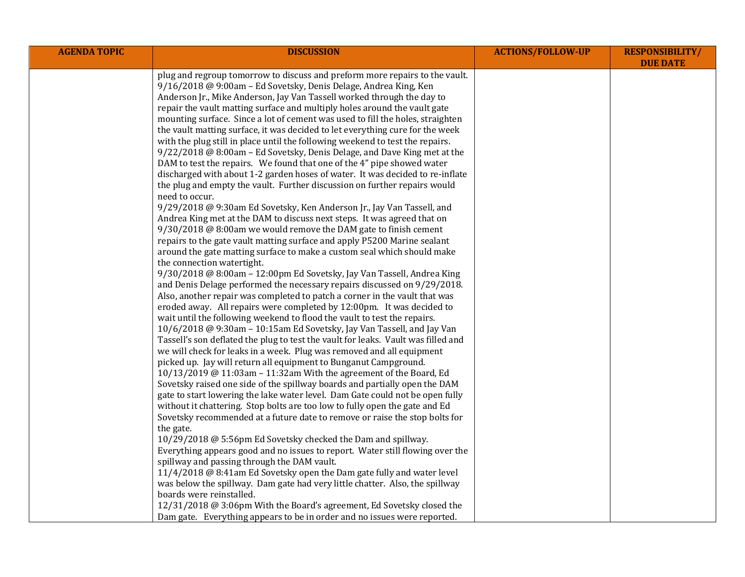| <b>AGENDA TOPIC</b> | <b>DISCUSSION</b>                                                                                     | <b>ACTIONS/FOLLOW-UP</b> | <b>RESPONSIBILITY/</b><br><b>DUE DATE</b> |
|---------------------|-------------------------------------------------------------------------------------------------------|--------------------------|-------------------------------------------|
|                     | plug and regroup tomorrow to discuss and preform more repairs to the vault.                           |                          |                                           |
|                     | 9/16/2018 @ 9:00am - Ed Sovetsky, Denis Delage, Andrea King, Ken                                      |                          |                                           |
|                     | Anderson Jr., Mike Anderson, Jay Van Tassell worked through the day to                                |                          |                                           |
|                     | repair the vault matting surface and multiply holes around the vault gate                             |                          |                                           |
|                     | mounting surface. Since a lot of cement was used to fill the holes, straighten                        |                          |                                           |
|                     | the vault matting surface, it was decided to let everything cure for the week                         |                          |                                           |
|                     | with the plug still in place until the following weekend to test the repairs.                         |                          |                                           |
|                     | 9/22/2018 @ 8:00am - Ed Sovetsky, Denis Delage, and Dave King met at the                              |                          |                                           |
|                     | DAM to test the repairs. We found that one of the 4" pipe showed water                                |                          |                                           |
|                     | discharged with about 1-2 garden hoses of water. It was decided to re-inflate                         |                          |                                           |
|                     | the plug and empty the vault. Further discussion on further repairs would                             |                          |                                           |
|                     | need to occur.                                                                                        |                          |                                           |
|                     | 9/29/2018 @ 9:30am Ed Sovetsky, Ken Anderson Jr., Jay Van Tassell, and                                |                          |                                           |
|                     | Andrea King met at the DAM to discuss next steps. It was agreed that on                               |                          |                                           |
|                     | 9/30/2018 @ 8:00am we would remove the DAM gate to finish cement                                      |                          |                                           |
|                     | repairs to the gate vault matting surface and apply P5200 Marine sealant                              |                          |                                           |
|                     | around the gate matting surface to make a custom seal which should make<br>the connection watertight. |                          |                                           |
|                     | 9/30/2018 @ 8:00am - 12:00pm Ed Sovetsky, Jay Van Tassell, Andrea King                                |                          |                                           |
|                     | and Denis Delage performed the necessary repairs discussed on 9/29/2018.                              |                          |                                           |
|                     | Also, another repair was completed to patch a corner in the vault that was                            |                          |                                           |
|                     | eroded away. All repairs were completed by 12:00pm. It was decided to                                 |                          |                                           |
|                     | wait until the following weekend to flood the vault to test the repairs.                              |                          |                                           |
|                     | 10/6/2018 @ 9:30am - 10:15am Ed Sovetsky, Jay Van Tassell, and Jay Van                                |                          |                                           |
|                     | Tassell's son deflated the plug to test the vault for leaks. Vault was filled and                     |                          |                                           |
|                     | we will check for leaks in a week. Plug was removed and all equipment                                 |                          |                                           |
|                     | picked up. Jay will return all equipment to Bunganut Campground.                                      |                          |                                           |
|                     | 10/13/2019 @ 11:03am - 11:32am With the agreement of the Board, Ed                                    |                          |                                           |
|                     | Sovetsky raised one side of the spillway boards and partially open the DAM                            |                          |                                           |
|                     | gate to start lowering the lake water level. Dam Gate could not be open fully                         |                          |                                           |
|                     | without it chattering. Stop bolts are too low to fully open the gate and Ed                           |                          |                                           |
|                     | Sovetsky recommended at a future date to remove or raise the stop bolts for                           |                          |                                           |
|                     | the gate.                                                                                             |                          |                                           |
|                     | 10/29/2018 @ 5:56pm Ed Sovetsky checked the Dam and spillway.                                         |                          |                                           |
|                     | Everything appears good and no issues to report. Water still flowing over the                         |                          |                                           |
|                     | spillway and passing through the DAM vault.                                                           |                          |                                           |
|                     | 11/4/2018 @ 8:41am Ed Sovetsky open the Dam gate fully and water level                                |                          |                                           |
|                     | was below the spillway. Dam gate had very little chatter. Also, the spillway                          |                          |                                           |
|                     | boards were reinstalled.                                                                              |                          |                                           |
|                     | 12/31/2018 @ 3:06pm With the Board's agreement, Ed Sovetsky closed the                                |                          |                                           |
|                     | Dam gate. Everything appears to be in order and no issues were reported.                              |                          |                                           |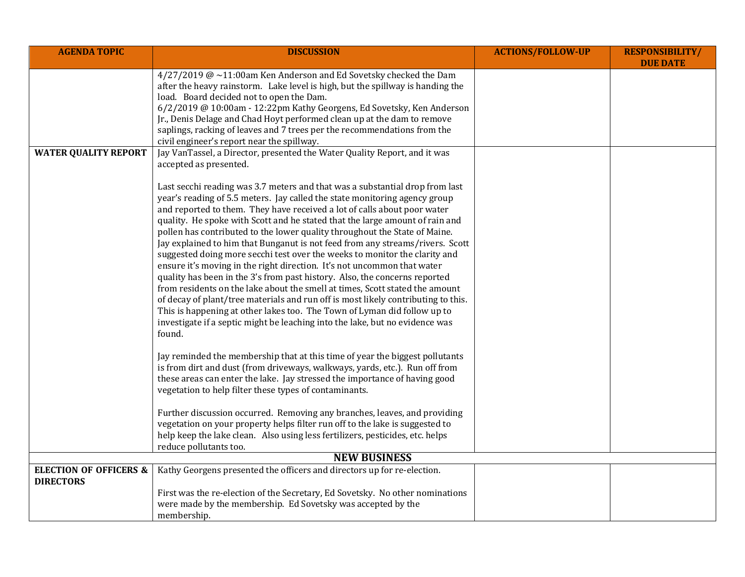| <b>AGENDA TOPIC</b>                                   | <b>DISCUSSION</b>                                                                                                                                                                                                                                                                                                                                                                                                                                                                                                                                                                                                                                                                                                                                                                                                                                                                                                                                                                                                                                                                                                                                                                                                                                                                                                                                                                                                                                                                                                                                                                                                                                                                                                                                             | <b>ACTIONS/FOLLOW-UP</b> | <b>RESPONSIBILITY/</b><br><b>DUE DATE</b> |
|-------------------------------------------------------|---------------------------------------------------------------------------------------------------------------------------------------------------------------------------------------------------------------------------------------------------------------------------------------------------------------------------------------------------------------------------------------------------------------------------------------------------------------------------------------------------------------------------------------------------------------------------------------------------------------------------------------------------------------------------------------------------------------------------------------------------------------------------------------------------------------------------------------------------------------------------------------------------------------------------------------------------------------------------------------------------------------------------------------------------------------------------------------------------------------------------------------------------------------------------------------------------------------------------------------------------------------------------------------------------------------------------------------------------------------------------------------------------------------------------------------------------------------------------------------------------------------------------------------------------------------------------------------------------------------------------------------------------------------------------------------------------------------------------------------------------------------|--------------------------|-------------------------------------------|
|                                                       | 4/27/2019 @~11:00am Ken Anderson and Ed Sovetsky checked the Dam<br>after the heavy rainstorm. Lake level is high, but the spillway is handing the<br>load. Board decided not to open the Dam.<br>6/2/2019 @ 10:00am - 12:22pm Kathy Georgens, Ed Sovetsky, Ken Anderson<br>Jr., Denis Delage and Chad Hoyt performed clean up at the dam to remove<br>saplings, racking of leaves and 7 trees per the recommendations from the<br>civil engineer's report near the spillway.                                                                                                                                                                                                                                                                                                                                                                                                                                                                                                                                                                                                                                                                                                                                                                                                                                                                                                                                                                                                                                                                                                                                                                                                                                                                                 |                          |                                           |
| <b>WATER QUALITY REPORT</b>                           | Jay VanTassel, a Director, presented the Water Quality Report, and it was<br>accepted as presented.<br>Last secchi reading was 3.7 meters and that was a substantial drop from last<br>year's reading of 5.5 meters. Jay called the state monitoring agency group<br>and reported to them. They have received a lot of calls about poor water<br>quality. He spoke with Scott and he stated that the large amount of rain and<br>pollen has contributed to the lower quality throughout the State of Maine.<br>Jay explained to him that Bunganut is not feed from any streams/rivers. Scott<br>suggested doing more secchi test over the weeks to monitor the clarity and<br>ensure it's moving in the right direction. It's not uncommon that water<br>quality has been in the 3's from past history. Also, the concerns reported<br>from residents on the lake about the smell at times, Scott stated the amount<br>of decay of plant/tree materials and run off is most likely contributing to this.<br>This is happening at other lakes too. The Town of Lyman did follow up to<br>investigate if a septic might be leaching into the lake, but no evidence was<br>found.<br>Jay reminded the membership that at this time of year the biggest pollutants<br>is from dirt and dust (from driveways, walkways, yards, etc.). Run off from<br>these areas can enter the lake. Jay stressed the importance of having good<br>vegetation to help filter these types of contaminants.<br>Further discussion occurred. Removing any branches, leaves, and providing<br>vegetation on your property helps filter run off to the lake is suggested to<br>help keep the lake clean. Also using less fertilizers, pesticides, etc. helps<br>reduce pollutants too. |                          |                                           |
| <b>NEW BUSINESS</b>                                   |                                                                                                                                                                                                                                                                                                                                                                                                                                                                                                                                                                                                                                                                                                                                                                                                                                                                                                                                                                                                                                                                                                                                                                                                                                                                                                                                                                                                                                                                                                                                                                                                                                                                                                                                                               |                          |                                           |
| <b>ELECTION OF OFFICERS &amp;</b><br><b>DIRECTORS</b> | Kathy Georgens presented the officers and directors up for re-election.<br>First was the re-election of the Secretary, Ed Sovetsky. No other nominations<br>were made by the membership. Ed Sovetsky was accepted by the                                                                                                                                                                                                                                                                                                                                                                                                                                                                                                                                                                                                                                                                                                                                                                                                                                                                                                                                                                                                                                                                                                                                                                                                                                                                                                                                                                                                                                                                                                                                      |                          |                                           |
|                                                       | membership.                                                                                                                                                                                                                                                                                                                                                                                                                                                                                                                                                                                                                                                                                                                                                                                                                                                                                                                                                                                                                                                                                                                                                                                                                                                                                                                                                                                                                                                                                                                                                                                                                                                                                                                                                   |                          |                                           |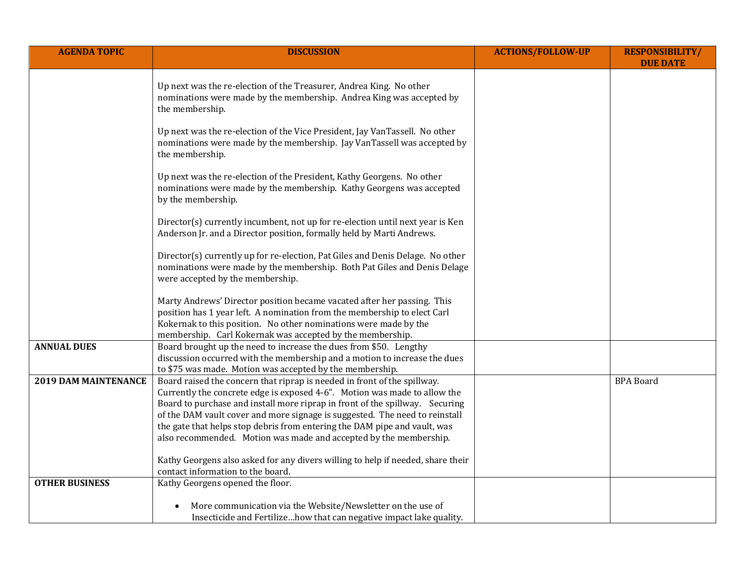| <b>AGENDA TOPIC</b>         | <b>DISCUSSION</b>                                                                                                                                                                                                                                                                                                                                                                                                                                                      | <b>ACTIONS/FOLLOW-UP</b> | <b>RESPONSIBILITY/</b><br><b>DUE DATE</b> |
|-----------------------------|------------------------------------------------------------------------------------------------------------------------------------------------------------------------------------------------------------------------------------------------------------------------------------------------------------------------------------------------------------------------------------------------------------------------------------------------------------------------|--------------------------|-------------------------------------------|
|                             | Up next was the re-election of the Treasurer, Andrea King. No other<br>nominations were made by the membership. Andrea King was accepted by<br>the membership.                                                                                                                                                                                                                                                                                                         |                          |                                           |
|                             | Up next was the re-election of the Vice President, Jay VanTassell. No other<br>nominations were made by the membership. Jay VanTassell was accepted by<br>the membership.                                                                                                                                                                                                                                                                                              |                          |                                           |
|                             | Up next was the re-election of the President, Kathy Georgens. No other<br>nominations were made by the membership. Kathy Georgens was accepted<br>by the membership.                                                                                                                                                                                                                                                                                                   |                          |                                           |
|                             | Director(s) currently incumbent, not up for re-election until next year is Ken<br>Anderson Jr. and a Director position, formally held by Marti Andrews.                                                                                                                                                                                                                                                                                                                |                          |                                           |
|                             | Director(s) currently up for re-election, Pat Giles and Denis Delage. No other<br>nominations were made by the membership. Both Pat Giles and Denis Delage<br>were accepted by the membership.                                                                                                                                                                                                                                                                         |                          |                                           |
|                             | Marty Andrews' Director position became vacated after her passing. This<br>position has 1 year left. A nomination from the membership to elect Carl<br>Kokernak to this position. No other nominations were made by the<br>membership. Carl Kokernak was accepted by the membership.                                                                                                                                                                                   |                          |                                           |
| <b>ANNUAL DUES</b>          | Board brought up the need to increase the dues from \$50. Lengthy<br>discussion occurred with the membership and a motion to increase the dues<br>to \$75 was made. Motion was accepted by the membership.                                                                                                                                                                                                                                                             |                          |                                           |
| <b>2019 DAM MAINTENANCE</b> | Board raised the concern that riprap is needed in front of the spillway.<br>Currently the concrete edge is exposed 4-6". Motion was made to allow the<br>Board to purchase and install more riprap in front of the spillway. Securing<br>of the DAM vault cover and more signage is suggested. The need to reinstall<br>the gate that helps stop debris from entering the DAM pipe and vault, was<br>also recommended. Motion was made and accepted by the membership. |                          | <b>BPA Board</b>                          |
|                             | Kathy Georgens also asked for any divers willing to help if needed, share their<br>contact information to the board.                                                                                                                                                                                                                                                                                                                                                   |                          |                                           |
| <b>OTHER BUSINESS</b>       | Kathy Georgens opened the floor.                                                                                                                                                                                                                                                                                                                                                                                                                                       |                          |                                           |
|                             | More communication via the Website/Newsletter on the use of<br>Insecticide and Fertilizehow that can negative impact lake quality.                                                                                                                                                                                                                                                                                                                                     |                          |                                           |